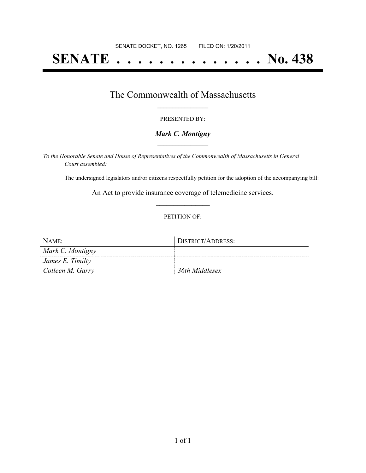# **SENATE . . . . . . . . . . . . . . No. 438**

### The Commonwealth of Massachusetts **\_\_\_\_\_\_\_\_\_\_\_\_\_\_\_\_\_**

#### PRESENTED BY:

#### *Mark C. Montigny* **\_\_\_\_\_\_\_\_\_\_\_\_\_\_\_\_\_**

*To the Honorable Senate and House of Representatives of the Commonwealth of Massachusetts in General Court assembled:*

The undersigned legislators and/or citizens respectfully petition for the adoption of the accompanying bill:

An Act to provide insurance coverage of telemedicine services. **\_\_\_\_\_\_\_\_\_\_\_\_\_\_\_**

#### PETITION OF:

| NAME:            | DISTRICT/ADDRESS: |
|------------------|-------------------|
| Mark C. Montigny |                   |
| James E. Timilty |                   |
| Colleen M. Garry | 36th Middlesex    |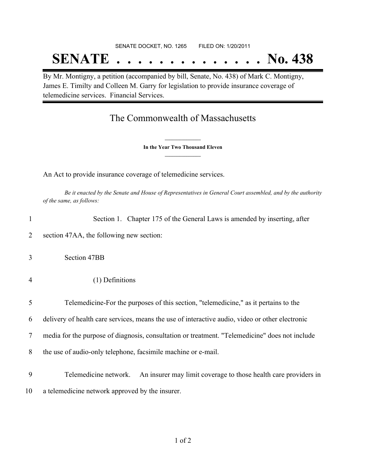## SENATE DOCKET, NO. 1265 FILED ON: 1/20/2011 **SENATE . . . . . . . . . . . . . . No. 438**

By Mr. Montigny, a petition (accompanied by bill, Senate, No. 438) of Mark C. Montigny, James E. Timilty and Colleen M. Garry for legislation to provide insurance coverage of telemedicine services. Financial Services.

## The Commonwealth of Massachusetts

**\_\_\_\_\_\_\_\_\_\_\_\_\_\_\_ In the Year Two Thousand Eleven \_\_\_\_\_\_\_\_\_\_\_\_\_\_\_**

An Act to provide insurance coverage of telemedicine services.

Be it enacted by the Senate and House of Representatives in General Court assembled, and by the authority *of the same, as follows:*

| 1              | Section 1. Chapter 175 of the General Laws is amended by inserting, after                       |
|----------------|-------------------------------------------------------------------------------------------------|
| 2              | section 47AA, the following new section:                                                        |
| 3              | Section 47BB                                                                                    |
| $\overline{4}$ | (1) Definitions                                                                                 |
| 5              | Telemedicine-For the purposes of this section, "telemedicine," as it pertains to the            |
| 6              | delivery of health care services, means the use of interactive audio, video or other electronic |
| 7              | media for the purpose of diagnosis, consultation or treatment. "Telemedicine" does not include  |
| 8              | the use of audio-only telephone, facsimile machine or e-mail.                                   |
| 9              | An insurer may limit coverage to those health care providers in<br>Telemedicine network.        |
| 10             | a telemedicine network approved by the insurer.                                                 |
|                |                                                                                                 |